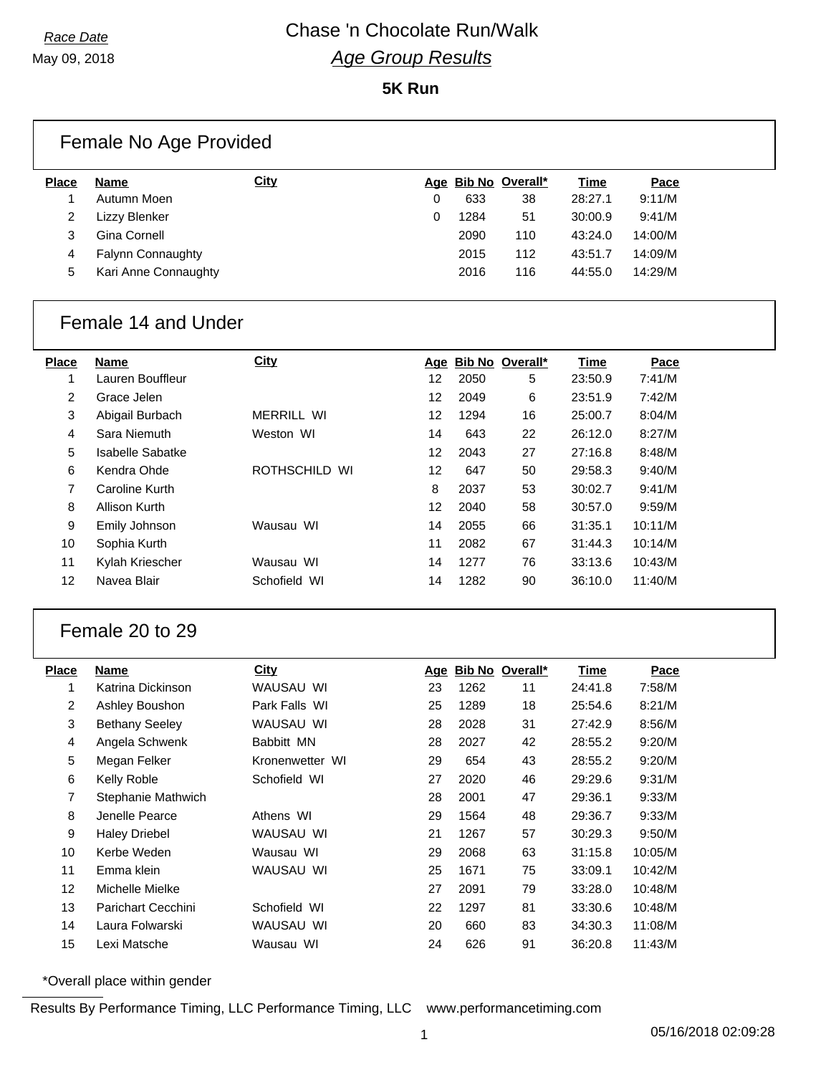May 09, 2018

#### **5K Run**

|              | Female No Age Provided   |             |   |      |                     |             |         |
|--------------|--------------------------|-------------|---|------|---------------------|-------------|---------|
| <b>Place</b> | Name                     | <b>City</b> |   |      | Age Bib No Overall* | <b>Time</b> | Pace    |
|              | Autumn Moen              |             | 0 | 633  | 38                  | 28:27.1     | 9:11/M  |
| 2            | Lizzy Blenker            |             | 0 | 1284 | 51                  | 30:00.9     | 9:41/M  |
| 3            | Gina Cornell             |             |   | 2090 | 110                 | 43:24.0     | 14:00/M |
| 4            | <b>Falynn Connaughty</b> |             |   | 2015 | 112                 | 43:51.7     | 14:09/M |
| 5            | Kari Anne Connaughty     |             |   | 2016 | 116                 | 44:55.0     | 14:29/M |

#### Female 14 and Under

| <b>Place</b> | <b>Name</b>      | City                    |    |      | Age Bib No Overall* | Time    | Pace    |
|--------------|------------------|-------------------------|----|------|---------------------|---------|---------|
| 1            | Lauren Bouffleur |                         | 12 | 2050 | 5                   | 23:50.9 | 7:41/M  |
| 2            | Grace Jelen      |                         | 12 | 2049 | 6                   | 23:51.9 | 7:42/M  |
| 3            | Abigail Burbach  | <b>MERRILL WI</b>       | 12 | 1294 | 16                  | 25:00.7 | 8:04/M  |
| 4            | Sara Niemuth     | Weston WI               | 14 | 643  | 22                  | 26:12.0 | 8:27/M  |
| 5            | Isabelle Sabatke |                         | 12 | 2043 | 27                  | 27:16.8 | 8:48/M  |
| 6            | Kendra Ohde      | <b>ROTHSCHILD</b><br>WI | 12 | 647  | 50                  | 29:58.3 | 9:40/M  |
| 7            | Caroline Kurth   |                         | 8  | 2037 | 53                  | 30:02.7 | 9:41/M  |
| 8            | Allison Kurth    |                         | 12 | 2040 | 58                  | 30:57.0 | 9:59/M  |
| 9            | Emily Johnson    | Wausau WI               | 14 | 2055 | 66                  | 31:35.1 | 10:11/M |
| 10           | Sophia Kurth     |                         | 11 | 2082 | 67                  | 31:44.3 | 10:14/M |
| 11           | Kylah Kriescher  | Wausau WI               | 14 | 1277 | 76                  | 33:13.6 | 10:43/M |
| 12           | Navea Blair      | Schofield WI            | 14 | 1282 | 90                  | 36:10.0 | 11:40/M |
|              |                  |                         |    |      |                     |         |         |

#### Female 20 to 29

| Place          | Name                      | City            | <u>Age</u> |      | Bib No Overall* | Time    | Pace    |
|----------------|---------------------------|-----------------|------------|------|-----------------|---------|---------|
|                | Katrina Dickinson         | WAUSAU WI       | 23         | 1262 | 11              | 24:41.8 | 7:58/M  |
| $\overline{2}$ | Ashley Boushon            | Park Falls WI   | 25         | 1289 | 18              | 25:54.6 | 8:21/M  |
| 3              | <b>Bethany Seeley</b>     | WAUSAU WI       | 28         | 2028 | 31              | 27:42.9 | 8:56/M  |
| 4              | Angela Schwenk            | Babbitt MN      | 28         | 2027 | 42              | 28:55.2 | 9:20/M  |
| 5              | Megan Felker              | Kronenwetter WI | 29         | 654  | 43              | 28:55.2 | 9:20/M  |
| 6              | Kelly Roble               | Schofield WI    | 27         | 2020 | 46              | 29:29.6 | 9:31/M  |
| 7              | Stephanie Mathwich        |                 | 28         | 2001 | 47              | 29:36.1 | 9:33/M  |
| 8              | Jenelle Pearce            | Athens WI       | 29         | 1564 | 48              | 29:36.7 | 9:33/M  |
| 9              | <b>Haley Driebel</b>      | WAUSAU WI       | 21         | 1267 | 57              | 30:29.3 | 9:50/M  |
| 10             | Kerbe Weden               | Wausau WI       | 29         | 2068 | 63              | 31:15.8 | 10:05/M |
| 11             | Emma klein                | WAUSAU WI       | 25         | 1671 | 75              | 33:09.1 | 10:42/M |
| 12             | Michelle Mielke           |                 | 27         | 2091 | 79              | 33:28.0 | 10:48/M |
| 13             | <b>Parichart Cecchini</b> | Schofield WI    | 22         | 1297 | 81              | 33:30.6 | 10:48/M |
| 14             | Laura Folwarski           | WAUSAU WI       | 20         | 660  | 83              | 34:30.3 | 11:08/M |
| 15             | Lexi Matsche              | Wausau WI       | 24         | 626  | 91              | 36:20.8 | 11:43/M |

\*Overall place within gender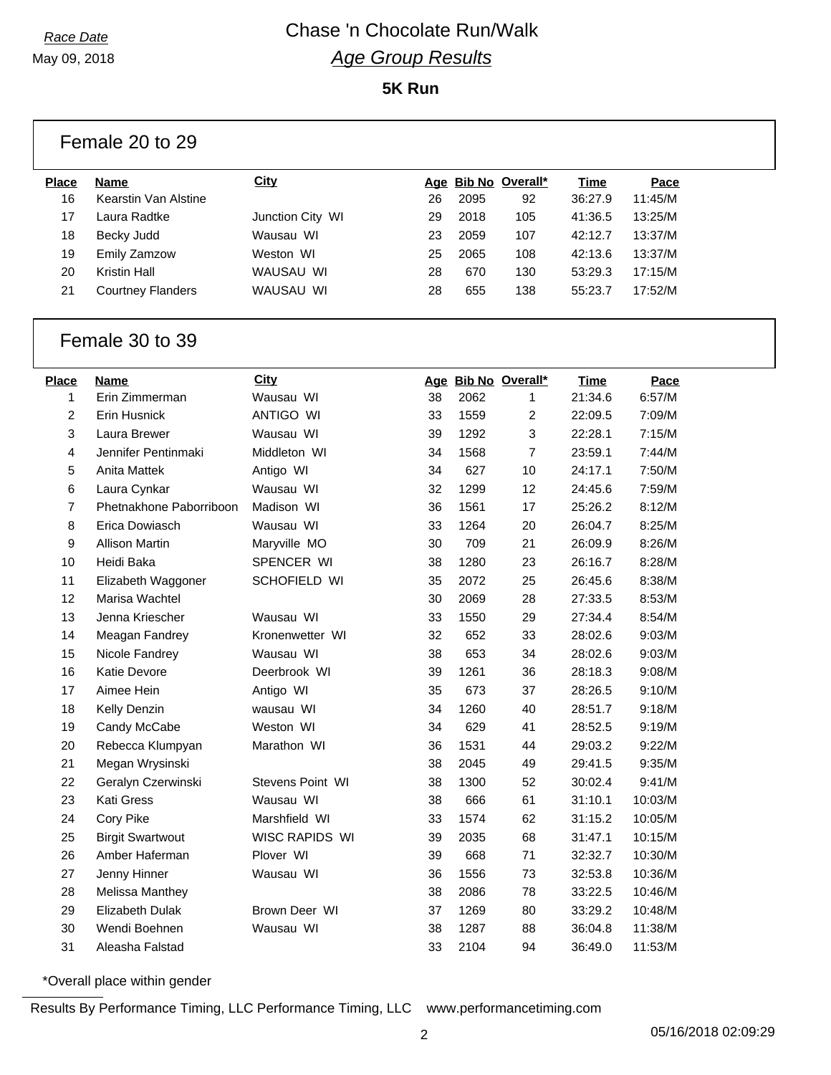May 09, 2018

**5K Run**

|                | Female 20 to 29          |                  |    |      |                     |             |             |  |  |
|----------------|--------------------------|------------------|----|------|---------------------|-------------|-------------|--|--|
| <b>Place</b>   | Name                     | <b>City</b>      |    |      | Age Bib No Overall* | Time        | Pace        |  |  |
| 16             | Kearstin Van Alstine     |                  | 26 | 2095 | 92                  | 36:27.9     | 11:45/M     |  |  |
| 17             | Laura Radtke             | Junction City WI | 29 | 2018 | 105                 | 41:36.5     | 13:25/M     |  |  |
| 18             | <b>Becky Judd</b>        | Wausau WI        | 23 | 2059 | 107                 | 42:12.7     | 13:37/M     |  |  |
| 19             | <b>Emily Zamzow</b>      | Weston WI        | 25 | 2065 | 108                 | 42:13.6     | 13:37/M     |  |  |
| 20             | <b>Kristin Hall</b>      | WAUSAU WI        | 28 | 670  | 130                 | 53:29.3     | 17:15/M     |  |  |
| 21             | <b>Courtney Flanders</b> | WAUSAU WI        | 28 | 655  | 138                 | 55:23.7     | 17:52/M     |  |  |
|                | Female 30 to 39          |                  |    |      |                     |             |             |  |  |
| <b>Place</b>   | <b>Name</b>              | <b>City</b>      |    |      | Age Bib No Overall* | <u>Time</u> | <b>Pace</b> |  |  |
| 1              | Erin Zimmerman           | Wausau WI        | 38 | 2062 | 1                   | 21:34.6     | 6:57/M      |  |  |
| $\overline{c}$ | Erin Husnick             | ANTIGO WI        | 33 | 1559 | 2                   | 22:09.5     | 7:09/M      |  |  |
| 3              | Laura Brewer             | Wausau WI        | 39 | 1292 | 3                   | 22:28.1     | 7:15/M      |  |  |
| 4              | Jennifer Pentinmaki      | Middleton WI     | 34 | 1568 | $\overline{7}$      | 23:59.1     | 7:44/M      |  |  |
| 5              | Anita Mattek             | Antigo WI        | 34 | 627  | 10                  | 24:17.1     | 7:50/M      |  |  |
| 6              | Laura Cynkar             | Wausau WI        | 32 | 1299 | 12                  | 24:45.6     | 7:59/M      |  |  |
| 7              | Phetnakhone Paborriboon  | Madison WI       | 36 | 1561 | 17                  | 25:26.2     | 8:12/M      |  |  |
| 8              | Erica Dowiasch           | Wausau WI        | 33 | 1264 | 20                  | 26:04.7     | 8:25/M      |  |  |
| 9              | <b>Allison Martin</b>    | Maryville MO     | 30 | 709  | 21                  | 26:09.9     | 8:26/M      |  |  |
| 10             | Heidi Baka               | SPENCER WI       | 38 | 1280 | 23                  | 26:16.7     | 8:28/M      |  |  |
| 11             | Elizabeth Waggoner       | SCHOFIELD WI     | 35 | 2072 | 25                  | 26:45.6     | 8:38/M      |  |  |
| 12             | Marisa Wachtel           |                  | 30 | 2069 | 28                  | 27:33.5     | 8:53/M      |  |  |
| 13             | Jenna Kriescher          | Wausau WI        | 33 | 1550 | 29                  | 27:34.4     | 8:54/M      |  |  |
| 14             | Meagan Fandrey           | Kronenwetter WI  | 32 | 652  | 33                  | 28:02.6     | 9:03/M      |  |  |
| 15             | Nicole Fandrey           | Wausau WI        | 38 | 653  | 34                  | 28:02.6     | 9:03/M      |  |  |
| 16             | <b>Katie Devore</b>      | Deerbrook WI     | 39 | 1261 | 36                  | 28:18.3     | 9:08/M      |  |  |
| 17             | Aimee Hein               | Antigo WI        | 35 | 673  | 37                  | 28:26.5     | 9:10/M      |  |  |
| 18             | Kelly Denzin             | wausau WI        | 34 | 1260 | 40                  | 28:51.7     | 9:18/M      |  |  |
| 19             | Candy McCabe             | Weston WI        | 34 | 629  | 41                  | 28:52.5     | 9:19/M      |  |  |
| 20             | Rebecca Klumpyan         | Marathon WI      | 36 | 1531 | 44                  | 29:03.2     | 9:22/M      |  |  |
| 21             | Megan Wrysinski          |                  | 38 | 2045 | 49                  | 29:41.5     | 9:35/M      |  |  |
| 22             | Geralyn Czerwinski       | Stevens Point WI | 38 | 1300 | 52                  | 30:02.4     | 9:41/M      |  |  |
| 23             | Kati Gress               | Wausau WI        | 38 | 666  | 61                  | 31:10.1     | 10:03/M     |  |  |
| 24             | Cory Pike                | Marshfield WI    | 33 | 1574 | 62                  | 31:15.2     | 10:05/M     |  |  |

\*Overall place within gender

Results By Performance Timing, LLC Performance Timing, LLC www.performancetiming.com

 Birgit Swartwout WISC RAPIDS WI 39 2035 68 31:47.1 10:15/M Amber Haferman Plover WI 39 668 71 32:32.7 10:30/M Jenny Hinner Wausau WI 36 1556 73 32:53.8 10:36/M Melissa Manthey 38 2086 78 33:22.5 10:46/M Elizabeth Dulak Brown Deer WI 37 1269 80 33:29.2 10:48/M Wendi Boehnen Wausau WI 38 1287 88 36:04.8 11:38/M Aleasha Falstad 33 2104 94 36:49.0 11:53/M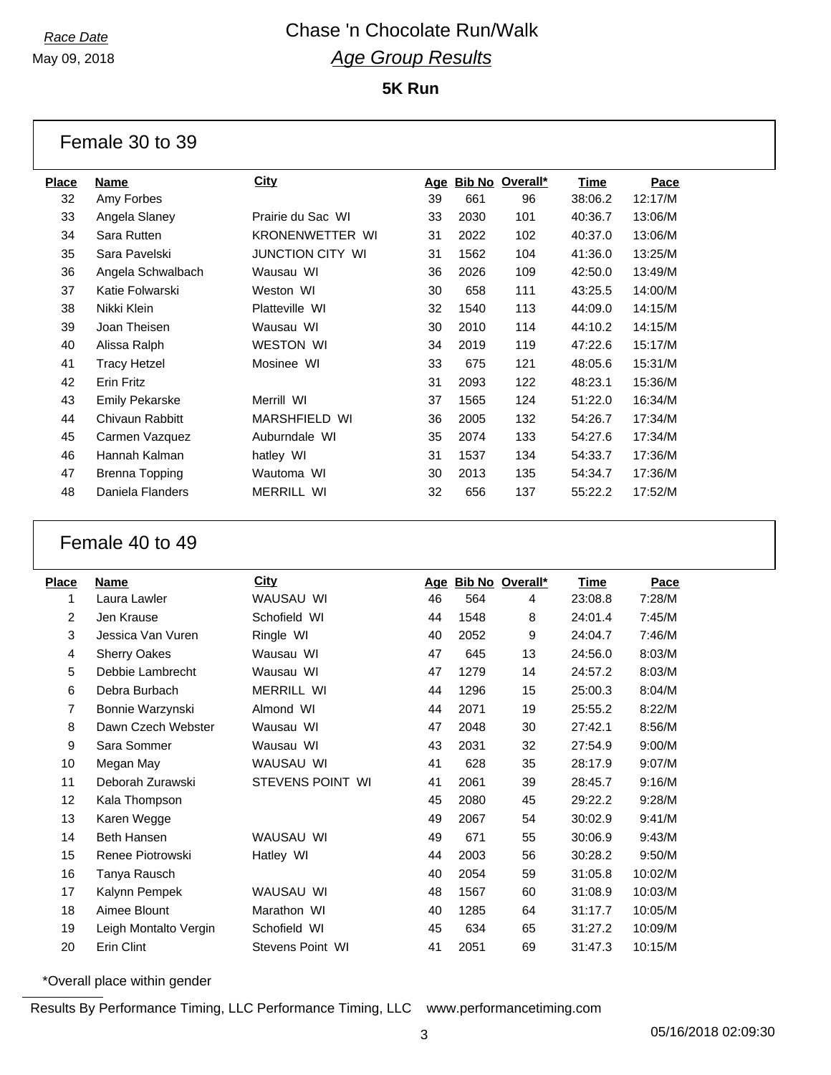May 09, 2018

**5K Run**

Female 30 to 39

| Name                  | <b>City</b>          | <u>Age</u> |      |     | Time                   | Pace    |
|-----------------------|----------------------|------------|------|-----|------------------------|---------|
| Amy Forbes            |                      | 39         | 661  | 96  | 38:06.2                | 12:17/M |
| Angela Slaney         | Prairie du Sac WI    | 33         | 2030 | 101 | 40:36.7                | 13:06/M |
| Sara Rutten           | KRONENWETTER WI      | 31         | 2022 | 102 | 40:37.0                | 13:06/M |
| Sara Pavelski         | JUNCTION CITY WI     | 31         | 1562 | 104 | 41:36.0                | 13:25/M |
| Angela Schwalbach     | Wausau WI            | 36         | 2026 | 109 | 42:50.0                | 13:49/M |
| Katie Folwarski       | Weston WI            | 30         | 658  | 111 | 43:25.5                | 14:00/M |
| Nikki Klein           | Platteville WI       | 32         | 1540 | 113 | 44:09.0                | 14:15/M |
| Joan Theisen          | Wausau WI            | 30         | 2010 | 114 | 44:10.2                | 14:15/M |
| Alissa Ralph          | <b>WESTON WI</b>     | 34         | 2019 | 119 | 47:22.6                | 15:17/M |
| <b>Tracy Hetzel</b>   | Mosinee WI           | 33         | 675  | 121 | 48:05.6                | 15:31/M |
| Erin Fritz            |                      | 31         | 2093 | 122 | 48:23.1                | 15:36/M |
| <b>Emily Pekarske</b> | Merrill WI           | 37         | 1565 | 124 | 51:22.0                | 16:34/M |
| Chivaun Rabbitt       | <b>MARSHFIELD WI</b> | 36         | 2005 | 132 | 54:26.7                | 17:34/M |
| Carmen Vazquez        | Auburndale WI        | 35         | 2074 | 133 | 54:27.6                | 17:34/M |
| Hannah Kalman         | hatley WI            | 31         | 1537 | 134 | 54:33.7                | 17:36/M |
| Brenna Topping        | Wautoma WI           | 30         | 2013 | 135 | 54:34.7                | 17:36/M |
| Daniela Flanders      | <b>MERRILL WI</b>    | 32         | 656  | 137 | 55:22.2                | 17:52/M |
|                       |                      |            |      |     | <b>Bib No Overall*</b> |         |

#### Female 40 to 49

| <b>Place</b> | Name                  | <b>City</b>       | <u>Age</u> |      | Bib No Overall* | <u>Time</u> | Pace    |
|--------------|-----------------------|-------------------|------------|------|-----------------|-------------|---------|
| 1            | Laura Lawler          | WAUSAU WI         | 46         | 564  | 4               | 23:08.8     | 7:28/M  |
| 2            | Jen Krause            | Schofield WI      | 44         | 1548 | 8               | 24:01.4     | 7:45/M  |
| 3            | Jessica Van Vuren     | Ringle WI         | 40         | 2052 | 9               | 24:04.7     | 7:46/M  |
| 4            | <b>Sherry Oakes</b>   | Wausau WI         | 47         | 645  | 13              | 24:56.0     | 8:03/M  |
| 5            | Debbie Lambrecht      | Wausau WI         | 47         | 1279 | 14              | 24:57.2     | 8:03/M  |
| 6            | Debra Burbach         | <b>MERRILL WI</b> | 44         | 1296 | 15              | 25:00.3     | 8:04/M  |
| 7            | Bonnie Warzynski      | Almond WI         | 44         | 2071 | 19              | 25:55.2     | 8:22/M  |
| 8            | Dawn Czech Webster    | Wausau WI         | 47         | 2048 | 30              | 27:42.1     | 8:56/M  |
| 9            | Sara Sommer           | Wausau WI         | 43         | 2031 | 32              | 27:54.9     | 9:00/M  |
| 10           | Megan May             | WAUSAU WI         | 41         | 628  | 35              | 28:17.9     | 9:07/M  |
| 11           | Deborah Zurawski      | STEVENS POINT WI  | 41         | 2061 | 39              | 28:45.7     | 9:16/M  |
| 12           | Kala Thompson         |                   | 45         | 2080 | 45              | 29:22.2     | 9:28/M  |
| 13           | Karen Wegge           |                   | 49         | 2067 | 54              | 30:02.9     | 9:41/M  |
| 14           | <b>Beth Hansen</b>    | WAUSAU WI         | 49         | 671  | 55              | 30:06.9     | 9:43/M  |
| 15           | Renee Piotrowski      | Hatley WI         | 44         | 2003 | 56              | 30:28.2     | 9:50/M  |
| 16           | Tanya Rausch          |                   | 40         | 2054 | 59              | 31:05.8     | 10:02/M |
| 17           | Kalynn Pempek         | WAUSAU WI         | 48         | 1567 | 60              | 31:08.9     | 10:03/M |
| 18           | Aimee Blount          | Marathon WI       | 40         | 1285 | 64              | 31:17.7     | 10:05/M |
| 19           | Leigh Montalto Vergin | Schofield WI      | 45         | 634  | 65              | 31:27.2     | 10:09/M |
| 20           | Erin Clint            | Stevens Point WI  | 41         | 2051 | 69              | 31:47.3     | 10:15/M |
|              |                       |                   |            |      |                 |             |         |

\*Overall place within gender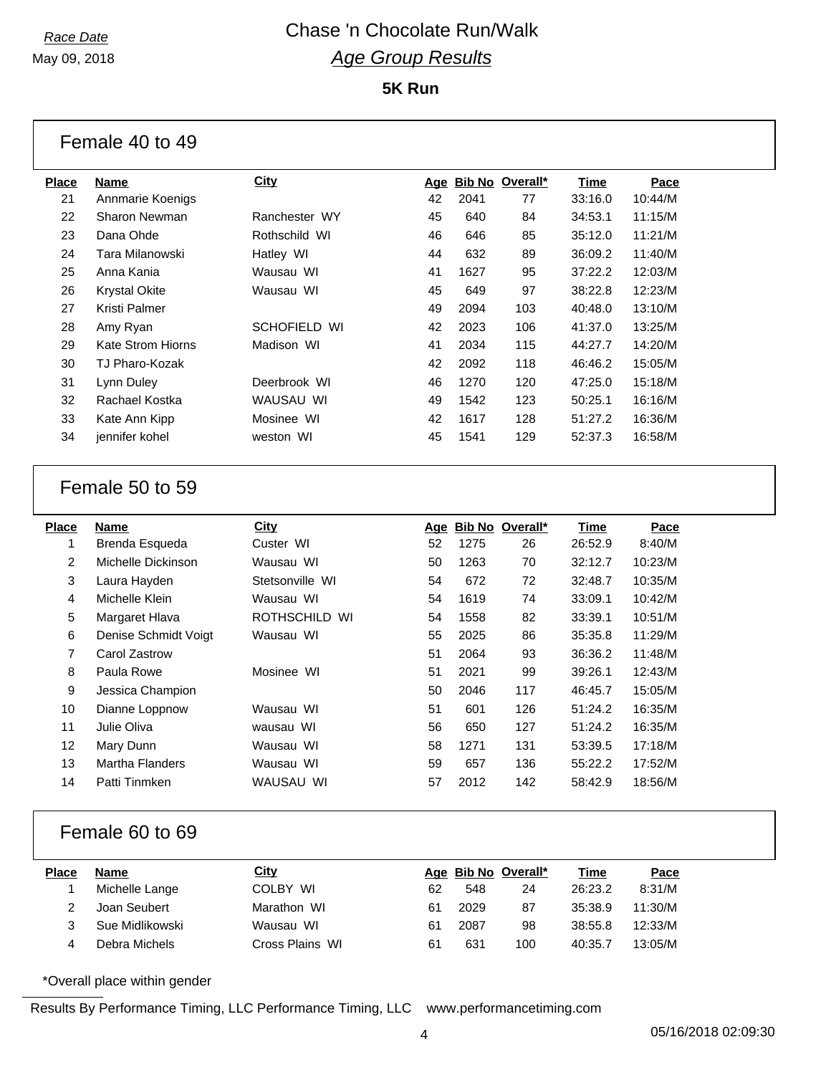May 09, 2018

Female 40 to 49

| Place | Name                 | <b>City</b>   | <u>Age</u> |      | Bib No Overall* | Time    | Pace    |
|-------|----------------------|---------------|------------|------|-----------------|---------|---------|
| 21    | Annmarie Koenigs     |               | 42         | 2041 | 77              | 33:16.0 | 10:44/M |
| 22    | Sharon Newman        | Ranchester WY | 45         | 640  | 84              | 34:53.1 | 11:15/M |
| 23    | Dana Ohde            | Rothschild WI | 46         | 646  | 85              | 35:12.0 | 11:21/M |
| 24    | Tara Milanowski      | Hatley WI     | 44         | 632  | 89              | 36:09.2 | 11:40/M |
| 25    | Anna Kania           | Wausau WI     | 41         | 1627 | 95              | 37:22.2 | 12:03/M |
| 26    | <b>Krystal Okite</b> | Wausau WI     | 45         | 649  | 97              | 38:22.8 | 12:23/M |
| 27    | Kristi Palmer        |               | 49         | 2094 | 103             | 40:48.0 | 13:10/M |
| 28    | Amy Ryan             | SCHOFIELD WI  | 42         | 2023 | 106             | 41:37.0 | 13:25/M |
| 29    | Kate Strom Hiorns    | Madison WI    | 41         | 2034 | 115             | 44:27.7 | 14:20/M |
| 30    | TJ Pharo-Kozak       |               | 42         | 2092 | 118             | 46:46.2 | 15:05/M |
| 31    | Lynn Duley           | Deerbrook WI  | 46         | 1270 | 120             | 47:25.0 | 15:18/M |
| 32    | Rachael Kostka       | WAUSAU WI     | 49         | 1542 | 123             | 50:25.1 | 16:16/M |
| 33    | Kate Ann Kipp        | Mosinee WI    | 42         | 1617 | 128             | 51:27.2 | 16:36/M |
| 34    | jennifer kohel       | weston WI     | 45         | 1541 | 129             | 52:37.3 | 16:58/M |
|       |                      |               |            |      |                 |         |         |

#### Female 50 to 59

| Place | <b>Name</b>            | City            | Age |      | Bib No Overall* | Time    | Pace    |
|-------|------------------------|-----------------|-----|------|-----------------|---------|---------|
|       | Brenda Esqueda         | Custer WI       | 52  | 1275 | 26              | 26:52.9 | 8:40/M  |
| 2     | Michelle Dickinson     | Wausau WI       | 50  | 1263 | 70              | 32:12.7 | 10:23/M |
| 3     | Laura Hayden           | Stetsonville WI | 54  | 672  | 72              | 32:48.7 | 10:35/M |
| 4     | Michelle Klein         | Wausau WI       | 54  | 1619 | 74              | 33:09.1 | 10:42/M |
| 5     | Margaret Hlava         | ROTHSCHILD WI   | 54  | 1558 | 82              | 33:39.1 | 10:51/M |
| 6     | Denise Schmidt Voigt   | Wausau WI       | 55  | 2025 | 86              | 35:35.8 | 11:29/M |
| 7     | Carol Zastrow          |                 | 51  | 2064 | 93              | 36:36.2 | 11:48/M |
| 8     | Paula Rowe             | Mosinee WI      | 51  | 2021 | 99              | 39:26.1 | 12:43/M |
| 9     | Jessica Champion       |                 | 50  | 2046 | 117             | 46:45.7 | 15:05/M |
| 10    | Dianne Loppnow         | Wausau WI       | 51  | 601  | 126             | 51:24.2 | 16:35/M |
| 11    | Julie Oliva            | wausau WI       | 56  | 650  | 127             | 51:24.2 | 16:35/M |
| 12    | Mary Dunn              | Wausau WI       | 58  | 1271 | 131             | 53:39.5 | 17:18/M |
| 13    | <b>Martha Flanders</b> | Wausau WI       | 59  | 657  | 136             | 55:22.2 | 17:52/M |
| 14    | Patti Tinmken          | WAUSAU WI       | 57  | 2012 | 142             | 58:42.9 | 18:56/M |
|       |                        |                 |     |      |                 |         |         |

#### Female 60 to 69

| Place | Name            | <b>City</b>     |    | Age Bib No Overall* |     | Time    | <u>Pace</u> |
|-------|-----------------|-----------------|----|---------------------|-----|---------|-------------|
|       | Michelle Lange  | COLBY WI        | 62 | 548                 | 24  | 26:23.2 | 8:31/M      |
|       | Joan Seubert    | Marathon WI     | 61 | 2029                | 87  | 35:38.9 | 11:30/M     |
|       | Sue Midlikowski | Wausau WI       | 61 | 2087                | 98  | 38:55.8 | 12:33/M     |
|       | Debra Michels   | Cross Plains WI | 61 | 631                 | 100 | 40:35.7 | 13:05/M     |

\*Overall place within gender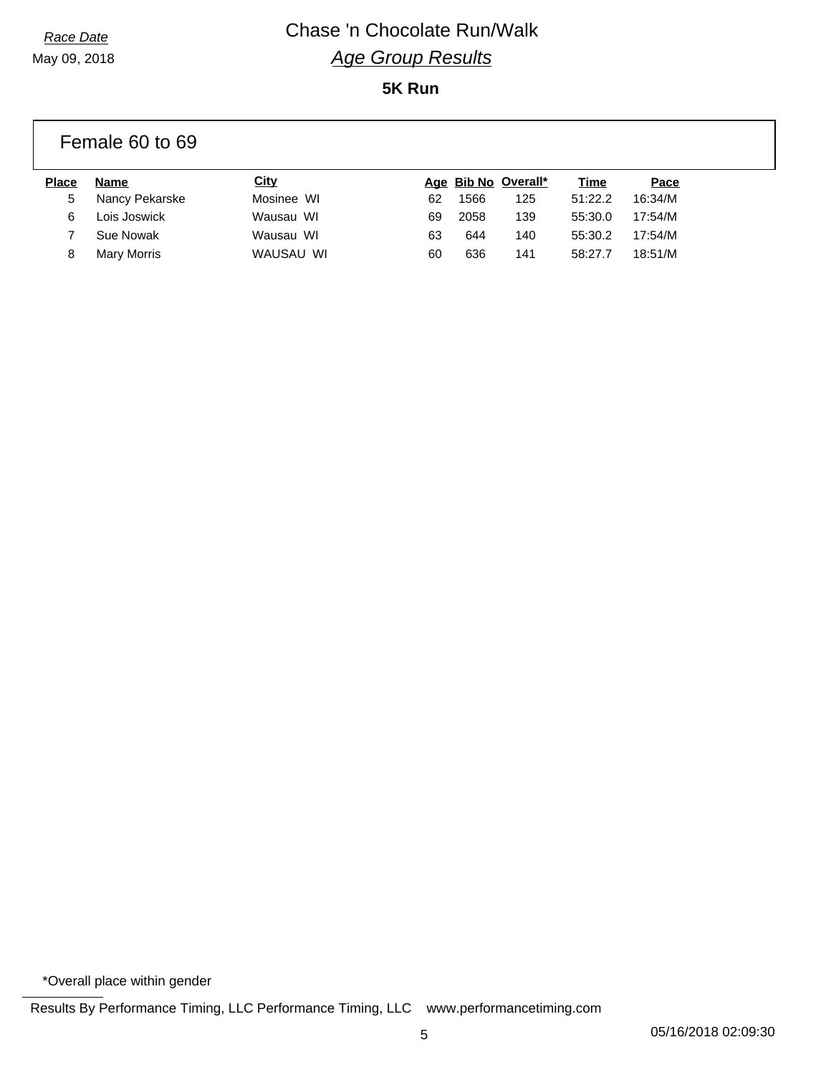May 09, 2018

## *Race Date* Chase 'n Chocolate Run/Walk *Age Group Results* **5K Run**

|              | Female 60 to 69    |             |    |      |                     |         |         |  |
|--------------|--------------------|-------------|----|------|---------------------|---------|---------|--|
| <b>Place</b> | Name               | <u>City</u> |    |      | Age Bib No Overall* | Time    | Pace    |  |
| 5            | Nancy Pekarske     | Mosinee WI  | 62 | 1566 | 125                 | 51:22.2 | 16:34/M |  |
| 6            | Lois Joswick       | Wausau WI   | 69 | 2058 | 139                 | 55:30.0 | 17:54/M |  |
|              | Sue Nowak          | Wausau WI   | 63 | 644  | 140                 | 55:30.2 | 17:54/M |  |
| 8            | <b>Mary Morris</b> | WAUSAU WI   | 60 | 636  | 141                 | 58:27.7 | 18:51/M |  |

\*Overall place within gender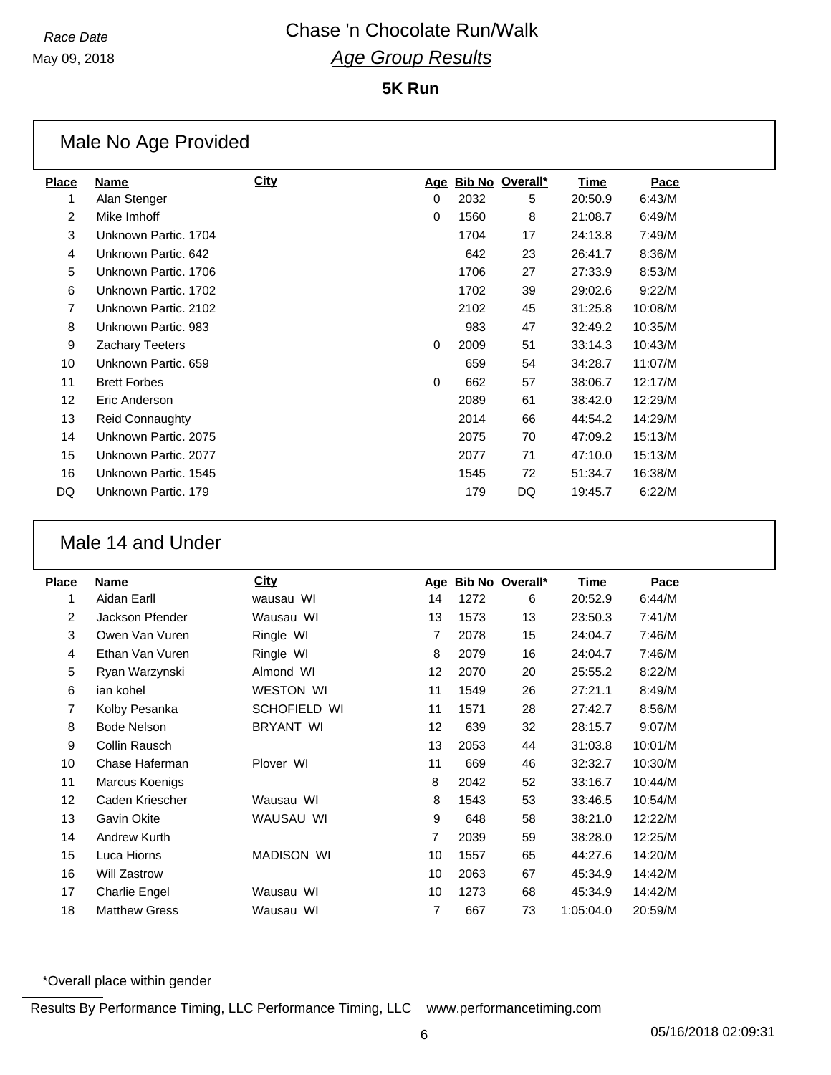May 09, 2018

**5K Run**

|                   | Male No Age Provided   |      |          |      |                        |         |         |  |  |  |
|-------------------|------------------------|------|----------|------|------------------------|---------|---------|--|--|--|
| <b>Place</b>      | Name                   | City | Age      |      | <b>Bib No Overall*</b> | Time    | Pace    |  |  |  |
| 1                 | Alan Stenger           |      | $\Omega$ | 2032 | 5                      | 20:50.9 | 6:43/M  |  |  |  |
| 2                 | Mike Imhoff            |      | $\Omega$ | 1560 | 8                      | 21:08.7 | 6:49/M  |  |  |  |
| 3                 | Unknown Partic, 1704   |      |          | 1704 | 17                     | 24:13.8 | 7:49/M  |  |  |  |
| 4                 | Unknown Partic, 642    |      |          | 642  | 23                     | 26:41.7 | 8:36/M  |  |  |  |
| 5                 | Unknown Partic, 1706   |      |          | 1706 | 27                     | 27:33.9 | 8:53/M  |  |  |  |
| 6                 | Unknown Partic, 1702   |      |          | 1702 | 39                     | 29:02.6 | 9:22/M  |  |  |  |
| 7                 | Unknown Partic, 2102   |      |          | 2102 | 45                     | 31:25.8 | 10:08/M |  |  |  |
| 8                 | Unknown Partic, 983    |      |          | 983  | 47                     | 32:49.2 | 10:35/M |  |  |  |
| 9                 | <b>Zachary Teeters</b> |      | $\Omega$ | 2009 | 51                     | 33:14.3 | 10:43/M |  |  |  |
| 10                | Unknown Partic, 659    |      |          | 659  | 54                     | 34:28.7 | 11:07/M |  |  |  |
| 11                | <b>Brett Forbes</b>    |      | $\Omega$ | 662  | 57                     | 38:06.7 | 12:17/M |  |  |  |
| $12 \overline{ }$ | Eric Anderson          |      |          | 2089 | 61                     | 38:42.0 | 12:29/M |  |  |  |
| 13                | <b>Reid Connaughty</b> |      |          | 2014 | 66                     | 44:54.2 | 14:29/M |  |  |  |
| 14                | Unknown Partic, 2075   |      |          | 2075 | 70                     | 47:09.2 | 15:13/M |  |  |  |
| 15                | Unknown Partic, 2077   |      |          | 2077 | 71                     | 47:10.0 | 15:13/M |  |  |  |
| 16                | Unknown Partic, 1545   |      |          | 1545 | 72                     | 51:34.7 | 16:38/M |  |  |  |
| DQ                | Unknown Partic, 179    |      |          | 179  | DQ                     | 19:45.7 | 6:22/M  |  |  |  |

#### Male 14 and Under

| Place | Name                 | <b>City</b>       | <u>Age</u> |      | Bib No Overall* | <b>Time</b> | Pace    |
|-------|----------------------|-------------------|------------|------|-----------------|-------------|---------|
| 1     | Aidan Earll          | wausau WI         | 14         | 1272 | 6               | 20:52.9     | 6:44/M  |
| 2     | Jackson Pfender      | Wausau WI         | 13         | 1573 | 13              | 23:50.3     | 7:41/M  |
| 3     | Owen Van Vuren       | Ringle WI         | 7          | 2078 | 15              | 24:04.7     | 7:46/M  |
| 4     | Ethan Van Vuren      | Ringle WI         | 8          | 2079 | 16              | 24:04.7     | 7:46/M  |
| 5     | Ryan Warzynski       | Almond WI         | 12         | 2070 | 20              | 25:55.2     | 8:22/M  |
| 6     | ian kohel            | <b>WESTON WI</b>  | 11         | 1549 | 26              | 27:21.1     | 8:49/M  |
| 7     | Kolby Pesanka        | SCHOFIELD WI      | 11         | 1571 | 28              | 27:42.7     | 8:56/M  |
| 8     | <b>Bode Nelson</b>   | <b>BRYANT WI</b>  | 12         | 639  | 32              | 28:15.7     | 9:07/M  |
| 9     | Collin Rausch        |                   | 13         | 2053 | 44              | 31:03.8     | 10:01/M |
| 10    | Chase Haferman       | Plover WI         | 11         | 669  | 46              | 32:32.7     | 10:30/M |
| 11    | Marcus Koenigs       |                   | 8          | 2042 | 52              | 33:16.7     | 10:44/M |
| 12    | Caden Kriescher      | Wausau WI         | 8          | 1543 | 53              | 33:46.5     | 10:54/M |
| 13    | Gavin Okite          | WAUSAU WI         | 9          | 648  | 58              | 38:21.0     | 12:22/M |
| 14    | Andrew Kurth         |                   | 7          | 2039 | 59              | 38:28.0     | 12:25/M |
| 15    | Luca Hiorns          | <b>MADISON WI</b> | 10         | 1557 | 65              | 44:27.6     | 14:20/M |
| 16    | <b>Will Zastrow</b>  |                   | 10         | 2063 | 67              | 45:34.9     | 14:42/M |
| 17    | Charlie Engel        | Wausau WI         | 10         | 1273 | 68              | 45:34.9     | 14:42/M |
| 18    | <b>Matthew Gress</b> | Wausau WI         | 7          | 667  | 73              | 1:05:04.0   | 20:59/M |
|       |                      |                   |            |      |                 |             |         |

\*Overall place within gender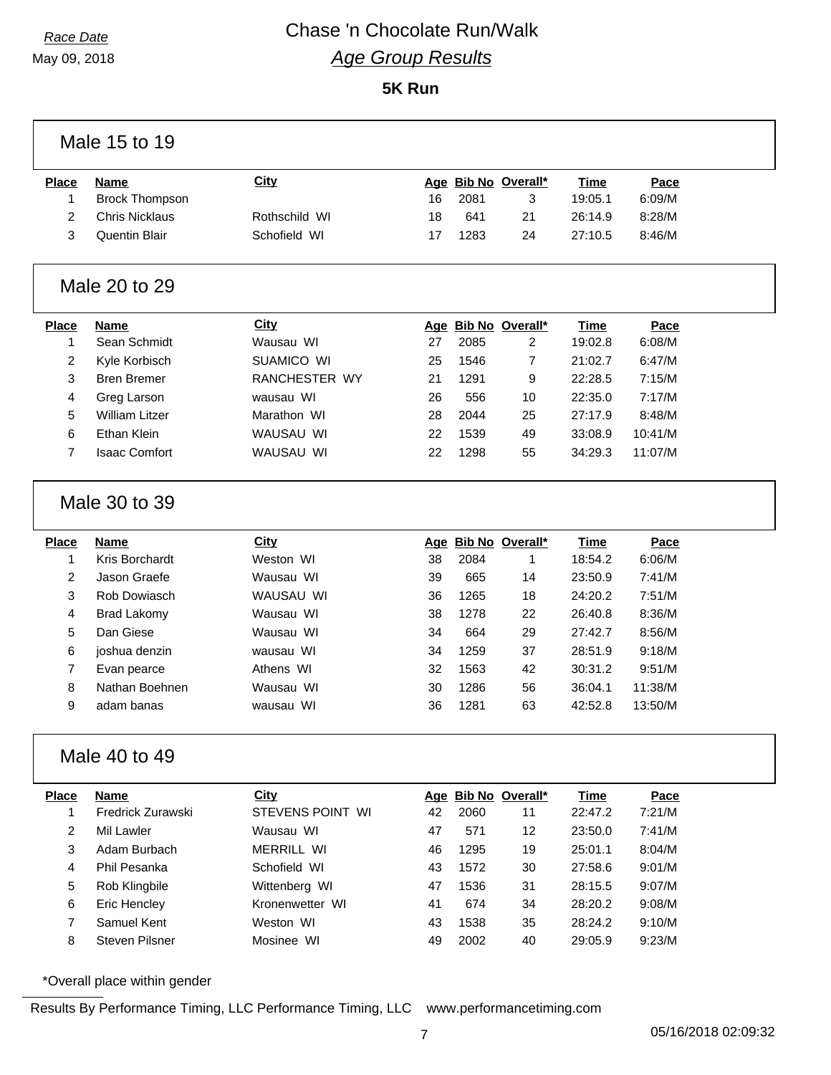May 09, 2018

# *Race Date* Chase 'n Chocolate Run/Walk *Age Group Results*

**5K Run**

| Male 15 to 19     |                                      |                   |    |      |                          |                        |                |  |
|-------------------|--------------------------------------|-------------------|----|------|--------------------------|------------------------|----------------|--|
| <b>Place</b><br>1 | <b>Name</b><br><b>Brock Thompson</b> | <b>City</b>       | 16 | 2081 | Age Bib No Overall*<br>3 | <b>Time</b><br>19:05.1 | Pace<br>6:09/M |  |
| $\overline{2}$    | <b>Chris Nicklaus</b>                | Rothschild WI     | 18 | 641  | 21                       | 26:14.9                | 8:28/M         |  |
| 3                 | Quentin Blair                        | Schofield WI      | 17 | 1283 | 24                       | 27:10.5                | 8:46/M         |  |
|                   | Male 20 to 29                        |                   |    |      |                          |                        |                |  |
| <b>Place</b>      | <b>Name</b>                          | <b>City</b>       |    |      | Age Bib No Overall*      | <b>Time</b>            | Pace           |  |
| 1                 | Sean Schmidt                         | Wausau WI         | 27 | 2085 | 2                        | 19:02.8                | 6:08/M         |  |
| $\overline{2}$    | Kyle Korbisch                        | SUAMICO WI        | 25 | 1546 | 7                        | 21:02.7                | 6:47/M         |  |
| 3                 | <b>Bren Bremer</b>                   | RANCHESTER WY     | 21 | 1291 | 9                        | 22:28.5                | 7:15/M         |  |
| 4                 | Greg Larson                          | wausau WI         | 26 | 556  | 10                       | 22:35.0                | 7:17/M         |  |
| 5                 | <b>William Litzer</b>                | Marathon WI       | 28 | 2044 | 25                       | 27:17.9                | 8:48/M         |  |
| 6                 | <b>Ethan Klein</b>                   | WAUSAU WI         | 22 | 1539 | 49                       | 33:08.9                | 10:41/M        |  |
| $\overline{7}$    | <b>Isaac Comfort</b>                 | WAUSAU WI         | 22 | 1298 | 55                       | 34:29.3                | 11:07/M        |  |
|                   | Male 30 to 39                        |                   |    |      |                          |                        |                |  |
| <b>Place</b>      | <b>Name</b>                          | City              |    |      | Age Bib No Overall*      | Time                   | Pace           |  |
| $\mathbf{1}$      | Kris Borchardt                       | Weston WI         | 38 | 2084 | 1                        | 18:54.2                | 6:06/M         |  |
| $\overline{2}$    | Jason Graefe                         | Wausau WI         | 39 | 665  | 14                       | 23:50.9                | 7:41/M         |  |
| $\mathbf{3}$      | Rob Dowiasch                         | WAUSAU WI         | 36 | 1265 | 18                       | 24:20.2                | 7:51/M         |  |
| 4                 | <b>Brad Lakomy</b>                   | Wausau WI         | 38 | 1278 | 22                       | 26:40.8                | 8:36/M         |  |
| 5                 | Dan Giese                            | Wausau WI         | 34 | 664  | 29                       | 27:42.7                | 8:56/M         |  |
| 6                 | joshua denzin                        | wausau WI         | 34 | 1259 | 37                       | 28:51.9                | 9:18/M         |  |
| 7                 | Evan pearce                          | Athens WI         | 32 | 1563 | 42                       | 30:31.2                | 9:51/M         |  |
| 8                 | Nathan Boehnen                       | Wausau WI         | 30 | 1286 | 56                       | 36:04.1                | 11:38/M        |  |
| 9                 | adam banas                           | wausau WI         | 36 | 1281 | 63                       | 42:52.8                | 13:50/M        |  |
| Male 40 to 49     |                                      |                   |    |      |                          |                        |                |  |
| <b>Place</b>      | <b>Name</b>                          | <b>City</b>       |    |      | Age Bib No Overall*      | <b>Time</b>            | Pace           |  |
| $\mathbf{1}$      | Fredrick Zurawski                    | STEVENS POINT WI  | 42 | 2060 | 11                       | 22:47.2                | 7:21/M         |  |
| $\overline{2}$    | Mil Lawler                           | Wausau WI         | 47 | 571  | 12                       | 23:50.0                | 7:41/M         |  |
| 3                 | Adam Burbach                         | <b>MERRILL WI</b> | 46 | 1295 | 19                       | 25:01.1                | 8:04/M         |  |
| 4                 | Phil Pesanka                         | Schofield WI      | 43 | 1572 | 30                       | 27:58.6                | 9:01/M         |  |
| 5                 | Rob Klingbile                        | Wittenberg WI     | 47 | 1536 | 31                       | 28:15.5                | 9:07/M         |  |
| 6                 | Eric Hencley                         | Kronenwetter WI   | 41 | 674  | 34                       | 28:20.2                | 9:08/M         |  |
| $\overline{7}$    | Samuel Kent                          | Weston WI         | 43 | 1538 | 35                       | 28:24.2                | 9:10/M         |  |
| 8                 | Steven Pilsner                       | Mosinee WI        | 49 | 2002 | 40                       | 29:05.9                | 9:23/M         |  |

\*Overall place within gender